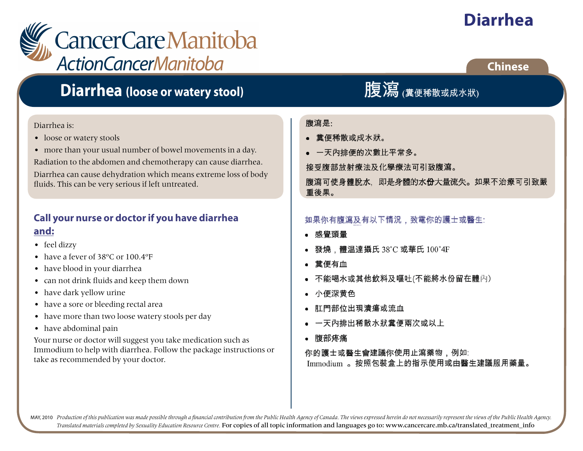## **Diarrhea**

# CancerCareManitoba **ActionCancerManitoba**

## **Diarrhea (loose or watery stool)**

#### Diarrhea is:

- loose or watery stools
- more than your usual number of bowel movements in a day.

Radiation to the abdomen and chemotherapy can cause diarrhea.

Diarrhea can cause dehydration which means extreme loss of body fluids. This can be very serious if left untreated.

### **Call your nurse or doctor if you have diarrhea and:**

- feel dizzy
- have a fever of 38°C or 100.4°F
- have blood in your diarrhea
- can not drink fluids and keep them down
- have dark yellow urine
- have a sore or bleeding rectal area
- have more than two loose watery stools per day
- have abdominal pain

Your nurse or doctor will suggest you take medication such as Immodium to help with diarrhea. Follow the package instructions or take as recommended by your doctor.

#### 腹瀉是:

- 糞便稀散或成水狀。
- 一天內排便的次數比平常多。

接受腹部放射療法及化學療法可引致腹瀉。

腹瀉可使身體脫水、即是身體的水份大量流失。如果不治療可引致嚴 重後果。

#### 如果你有腹瀉及有以下情況,致電你的護士或醫生:

- 感譽頭暈
- 發燒,體温達攝氏 38°C 或華氏 100°4F
- 糞便有血
- 不能喝水或其他飲料及嘔吐(不能將水份留在體內)
- 小便深黄色
- 肛門部位出現潰瘍或流血
- 一天內排出稀散水狀糞便兩次或以上
- 腹部疼痛

你的護士或醫生會建議你使用止瀉藥物,例如: Immodium 。按照包裝盒上的指示使用或由醫生建議服用藥量。

MAY, 2010 Production of this publication was made possible through a financial contribution from the Public Health Agency of Canada. The views expressed herein do not necessarily represent the views of the Public Health Ag *Translated materials completed by Sexuality Education Resource Centre.* For copies of all topic information and languages go to: www.cancercare.mb.ca/translated\_treatment\_info